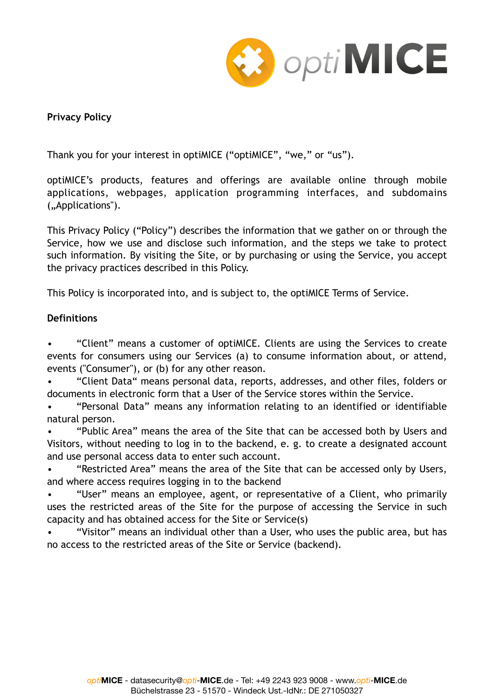

### **Privacy Policy**

Thank you for your interest in optiMICE ("optiMICE", "we," or "us").

optiMICE's products, features and offerings are available online through mobile applications, webpages, application programming interfaces, and subdomains ("Applications").

This Privacy Policy ("Policy") describes the information that we gather on or through the Service, how we use and disclose such information, and the steps we take to protect such information. By visiting the Site, or by purchasing or using the Service, you accept the privacy practices described in this Policy.

This Policy is incorporated into, and is subject to, the optiMICE Terms of Service.

### **Definitions**

• "Client" means a customer of optiMICE. Clients are using the Services to create events for consumers using our Services (a) to consume information about, or attend, events ("Consumer"), or (b) for any other reason.

• "Client Data" means personal data, reports, addresses, and other files, folders or documents in electronic form that a User of the Service stores within the Service.

• "Personal Data" means any information relating to an identified or identifiable natural person.

• "Public Area" means the area of the Site that can be accessed both by Users and Visitors, without needing to log in to the backend, e. g. to create a designated account and use personal access data to enter such account.

• "Restricted Area" means the area of the Site that can be accessed only by Users, and where access requires logging in to the backend

• "User" means an employee, agent, or representative of a Client, who primarily uses the restricted areas of the Site for the purpose of accessing the Service in such capacity and has obtained access for the Site or Service(s)

• "Visitor" means an individual other than a User, who uses the public area, but has no access to the restricted areas of the Site or Service (backend).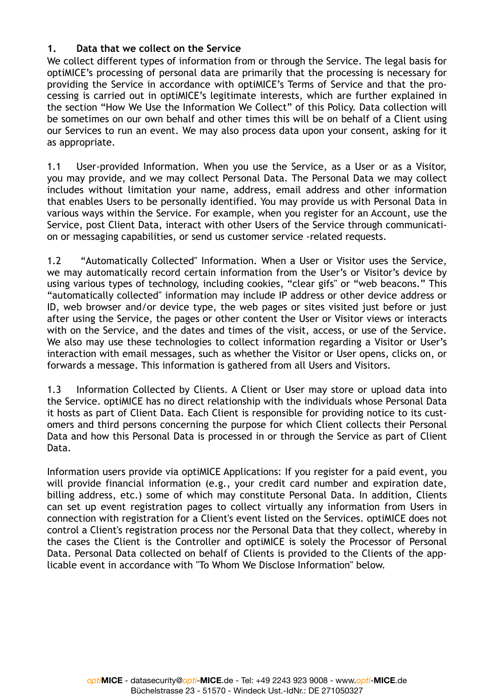### **1. Data that we collect on the Service**

We collect different types of information from or through the Service. The legal basis for optiMICE's processing of personal data are primarily that the processing is necessary for providing the Service in accordance with optiMICE's Terms of Service and that the processing is carried out in optiMICE's legitimate interests, which are further explained in the section "How We Use the Information We Collect" of this Policy. Data collection will be sometimes on our own behalf and other times this will be on behalf of a Client using our Services to run an event. We may also process data upon your consent, asking for it as appropriate.

1.1 User-provided Information. When you use the Service, as a User or as a Visitor, you may provide, and we may collect Personal Data. The Personal Data we may collect includes without limitation your name, address, email address and other information that enables Users to be personally identified. You may provide us with Personal Data in various ways within the Service. For example, when you register for an Account, use the Service, post Client Data, interact with other Users of the Service through communication or messaging capabilities, or send us customer service -related requests.

1.2 "Automatically Collected" Information. When a User or Visitor uses the Service, we may automatically record certain information from the User's or Visitor's device by using various types of technology, including cookies, "clear gifs" or "web beacons." This "automatically collected" information may include IP address or other device address or ID, web browser and/or device type, the web pages or sites visited just before or just after using the Service, the pages or other content the User or Visitor views or interacts with on the Service, and the dates and times of the visit, access, or use of the Service. We also may use these technologies to collect information regarding a Visitor or User's interaction with email messages, such as whether the Visitor or User opens, clicks on, or forwards a message. This information is gathered from all Users and Visitors.

1.3 Information Collected by Clients. A Client or User may store or upload data into the Service. optiMICE has no direct relationship with the individuals whose Personal Data it hosts as part of Client Data. Each Client is responsible for providing notice to its customers and third persons concerning the purpose for which Client collects their Personal Data and how this Personal Data is processed in or through the Service as part of Client Data.

Information users provide via optiMICE Applications: If you register for a paid event, you will provide financial information (e.g., your credit card number and expiration date, billing address, etc.) some of which may constitute Personal Data. In addition, Clients can set up event registration pages to collect virtually any information from Users in connection with registration for a Client's event listed on the Services. optiMICE does not control a Client's registration process nor the Personal Data that they collect, whereby in the cases the Client is the Controller and optiMICE is solely the Processor of Personal Data. Personal Data collected on behalf of Clients is provided to the Clients of the applicable event in accordance with "To Whom We Disclose Information" below.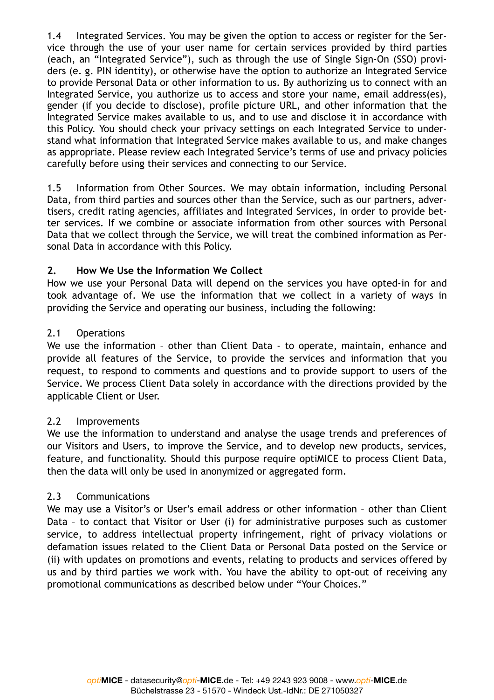1.4 Integrated Services. You may be given the option to access or register for the Service through the use of your user name for certain services provided by third parties (each, an "Integrated Service"), such as through the use of Single Sign-On (SSO) providers (e. g. PIN identity), or otherwise have the option to authorize an Integrated Service to provide Personal Data or other information to us. By authorizing us to connect with an Integrated Service, you authorize us to access and store your name, email address(es), gender (if you decide to disclose), profile picture URL, and other information that the Integrated Service makes available to us, and to use and disclose it in accordance with this Policy. You should check your privacy settings on each Integrated Service to understand what information that Integrated Service makes available to us, and make changes as appropriate. Please review each Integrated Service's terms of use and privacy policies carefully before using their services and connecting to our Service.

1.5 Information from Other Sources. We may obtain information, including Personal Data, from third parties and sources other than the Service, such as our partners, advertisers, credit rating agencies, affiliates and Integrated Services, in order to provide better services. If we combine or associate information from other sources with Personal Data that we collect through the Service, we will treat the combined information as Personal Data in accordance with this Policy.

### **2. How We Use the Information We Collect**

How we use your Personal Data will depend on the services you have opted-in for and took advantage of. We use the information that we collect in a variety of ways in providing the Service and operating our business, including the following:

#### 2.1 Operations

We use the information – other than Client Data - to operate, maintain, enhance and provide all features of the Service, to provide the services and information that you request, to respond to comments and questions and to provide support to users of the Service. We process Client Data solely in accordance with the directions provided by the applicable Client or User.

### 2.2 Improvements

We use the information to understand and analyse the usage trends and preferences of our Visitors and Users, to improve the Service, and to develop new products, services, feature, and functionality. Should this purpose require optiMICE to process Client Data, then the data will only be used in anonymized or aggregated form.

### 2.3 Communications

We may use a Visitor's or User's email address or other information - other than Client Data – to contact that Visitor or User (i) for administrative purposes such as customer service, to address intellectual property infringement, right of privacy violations or defamation issues related to the Client Data or Personal Data posted on the Service or (ii) with updates on promotions and events, relating to products and services offered by us and by third parties we work with. You have the ability to opt-out of receiving any promotional communications as described below under "Your Choices."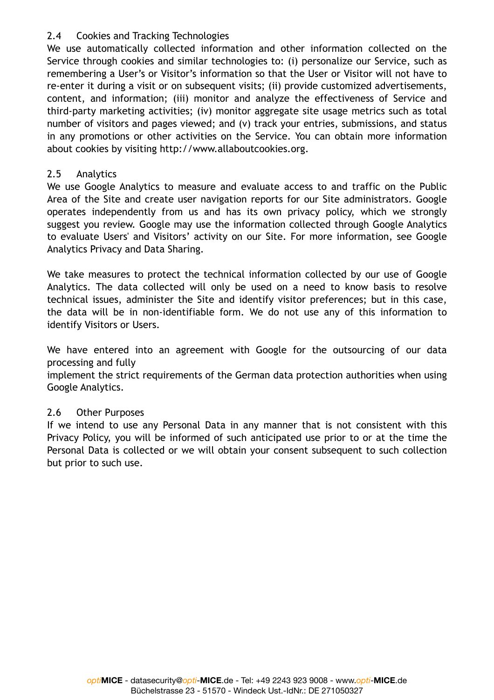### 2.4 Cookies and Tracking Technologies

We use automatically collected information and other information collected on the Service through cookies and similar technologies to: (i) personalize our Service, such as remembering a User's or Visitor's information so that the User or Visitor will not have to re-enter it during a visit or on subsequent visits; (ii) provide customized advertisements, content, and information; (iii) monitor and analyze the effectiveness of Service and third-party marketing activities; (iv) monitor aggregate site usage metrics such as total number of visitors and pages viewed; and (v) track your entries, submissions, and status in any promotions or other activities on the Service. You can obtain more information about cookies by visiting http://www.allaboutcookies.org.

## 2.5 Analytics

We use Google Analytics to measure and evaluate access to and traffic on the Public Area of the Site and create user navigation reports for our Site administrators. Google operates independently from us and has its own privacy policy, which we strongly suggest you review. Google may use the information collected through Google Analytics to evaluate Users' and Visitors' activity on our Site. For more information, see Google Analytics Privacy and Data Sharing.

We take measures to protect the technical information collected by our use of Google Analytics. The data collected will only be used on a need to know basis to resolve technical issues, administer the Site and identify visitor preferences; but in this case, the data will be in non-identifiable form. We do not use any of this information to identify Visitors or Users.

We have entered into an agreement with Google for the outsourcing of our data processing and fully

implement the strict requirements of the German data protection authorities when using Google Analytics.

# 2.6 Other Purposes

If we intend to use any Personal Data in any manner that is not consistent with this Privacy Policy, you will be informed of such anticipated use prior to or at the time the Personal Data is collected or we will obtain your consent subsequent to such collection but prior to such use.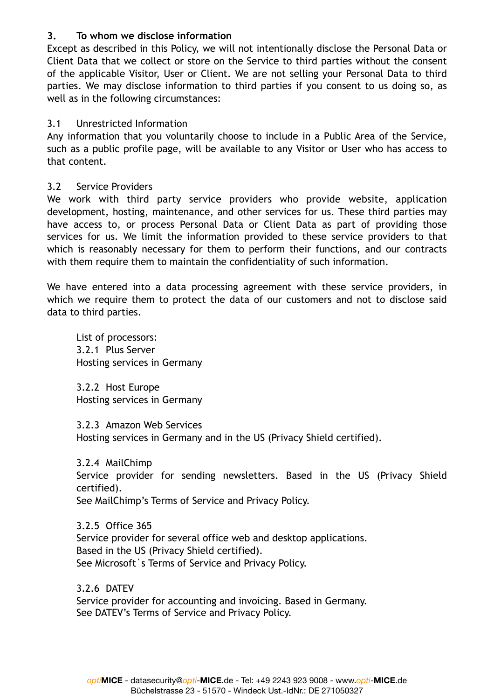### **3. To whom we disclose information**

Except as described in this Policy, we will not intentionally disclose the Personal Data or Client Data that we collect or store on the Service to third parties without the consent of the applicable Visitor, User or Client. We are not selling your Personal Data to third parties. We may disclose information to third parties if you consent to us doing so, as well as in the following circumstances:

#### 3.1 Unrestricted Information

Any information that you voluntarily choose to include in a Public Area of the Service, such as a public profile page, will be available to any Visitor or User who has access to that content.

### 3.2 Service Providers

We work with third party service providers who provide website, application development, hosting, maintenance, and other services for us. These third parties may have access to, or process Personal Data or Client Data as part of providing those services for us. We limit the information provided to these service providers to that which is reasonably necessary for them to perform their functions, and our contracts with them require them to maintain the confidentiality of such information.

We have entered into a data processing agreement with these service providers, in which we require them to protect the data of our customers and not to disclose said data to third parties.

List of processors: 3.2.1 Plus Server Hosting services in Germany

3.2.2 Host Europe Hosting services in Germany

3.2.3 Amazon Web Services Hosting services in Germany and in the US (Privacy Shield certified).

3.2.4 MailChimp Service provider for sending newsletters. Based in the US (Privacy Shield certified). See MailChimp's Terms of Service and Privacy Policy.

3.2.5 Office 365 Service provider for several office web and desktop applications. Based in the US (Privacy Shield certified). See Microsoft's Terms of Service and Privacy Policy.

3.2.6 DATEV Service provider for accounting and invoicing. Based in Germany. See DATEV's Terms of Service and Privacy Policy.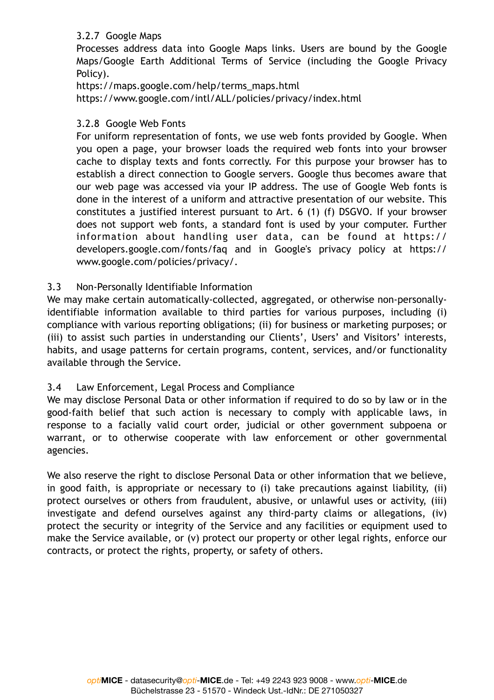### 3.2.7 Google Maps

Processes address data into Google Maps links. Users are bound by the Google Maps/Google Earth Additional Terms of Service (including the Google Privacy Policy).

https://maps.google.com/help/terms\_maps.html https://www.google.com/intl/ALL/policies/privacy/index.html

### 3.2.8 Google Web Fonts

For uniform representation of fonts, we use web fonts provided by Google. When you open a page, your browser loads the required web fonts into your browser cache to display texts and fonts correctly. For this purpose your browser has to establish a direct connection to Google servers. Google thus becomes aware that our web page was accessed via your IP address. The use of Google Web fonts is done in the interest of a uniform and attractive presentation of our website. This constitutes a justified interest pursuant to Art. 6 (1) (f) DSGVO. If your browser does not support web fonts, a standard font is used by your computer. Further information about handling user data, can be found at https:// developers.google.com/fonts/faq and in Google's privacy policy at https:// www.google.com/policies/privacy/.

### 3.3 Non-Personally Identifiable Information

We may make certain automatically-collected, aggregated, or otherwise non-personallyidentifiable information available to third parties for various purposes, including (i) compliance with various reporting obligations; (ii) for business or marketing purposes; or (iii) to assist such parties in understanding our Clients', Users' and Visitors' interests, habits, and usage patterns for certain programs, content, services, and/or functionality available through the Service.

### 3.4 Law Enforcement, Legal Process and Compliance

We may disclose Personal Data or other information if required to do so by law or in the good-faith belief that such action is necessary to comply with applicable laws, in response to a facially valid court order, judicial or other government subpoena or warrant, or to otherwise cooperate with law enforcement or other governmental agencies.

We also reserve the right to disclose Personal Data or other information that we believe, in good faith, is appropriate or necessary to (i) take precautions against liability, (ii) protect ourselves or others from fraudulent, abusive, or unlawful uses or activity, (iii) investigate and defend ourselves against any third-party claims or allegations, (iv) protect the security or integrity of the Service and any facilities or equipment used to make the Service available, or (v) protect our property or other legal rights, enforce our contracts, or protect the rights, property, or safety of others.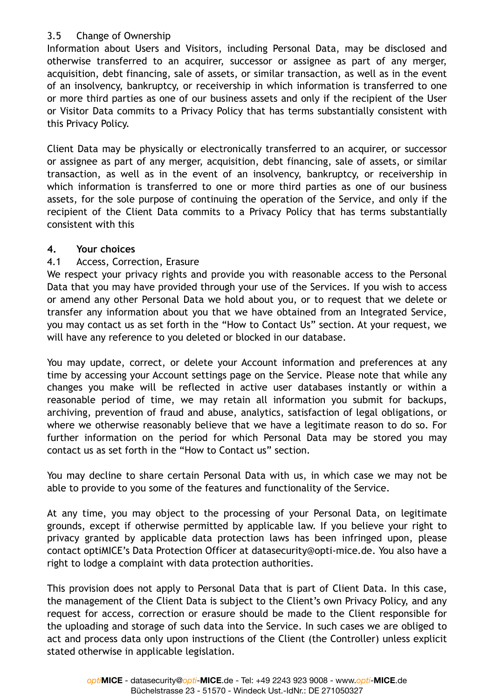# 3.5 Change of Ownership

Information about Users and Visitors, including Personal Data, may be disclosed and otherwise transferred to an acquirer, successor or assignee as part of any merger, acquisition, debt financing, sale of assets, or similar transaction, as well as in the event of an insolvency, bankruptcy, or receivership in which information is transferred to one or more third parties as one of our business assets and only if the recipient of the User or Visitor Data commits to a Privacy Policy that has terms substantially consistent with this Privacy Policy.

Client Data may be physically or electronically transferred to an acquirer, or successor or assignee as part of any merger, acquisition, debt financing, sale of assets, or similar transaction, as well as in the event of an insolvency, bankruptcy, or receivership in which information is transferred to one or more third parties as one of our business assets, for the sole purpose of continuing the operation of the Service, and only if the recipient of the Client Data commits to a Privacy Policy that has terms substantially consistent with this

### **4. Your choices**

### 4.1 Access, Correction, Erasure

We respect your privacy rights and provide you with reasonable access to the Personal Data that you may have provided through your use of the Services. If you wish to access or amend any other Personal Data we hold about you, or to request that we delete or transfer any information about you that we have obtained from an Integrated Service, you may contact us as set forth in the "How to Contact Us" section. At your request, we will have any reference to you deleted or blocked in our database.

You may update, correct, or delete your Account information and preferences at any time by accessing your Account settings page on the Service. Please note that while any changes you make will be reflected in active user databases instantly or within a reasonable period of time, we may retain all information you submit for backups, archiving, prevention of fraud and abuse, analytics, satisfaction of legal obligations, or where we otherwise reasonably believe that we have a legitimate reason to do so. For further information on the period for which Personal Data may be stored you may contact us as set forth in the "How to Contact us" section.

You may decline to share certain Personal Data with us, in which case we may not be able to provide to you some of the features and functionality of the Service.

At any time, you may object to the processing of your Personal Data, on legitimate grounds, except if otherwise permitted by applicable law. If you believe your right to privacy granted by applicable data protection laws has been infringed upon, please contact optiMICE's Data Protection Officer at datasecurity@opti-mice.de. You also have a right to lodge a complaint with data protection authorities.

This provision does not apply to Personal Data that is part of Client Data. In this case, the management of the Client Data is subject to the Client's own Privacy Policy, and any request for access, correction or erasure should be made to the Client responsible for the uploading and storage of such data into the Service. In such cases we are obliged to act and process data only upon instructions of the Client (the Controller) unless explicit stated otherwise in applicable legislation.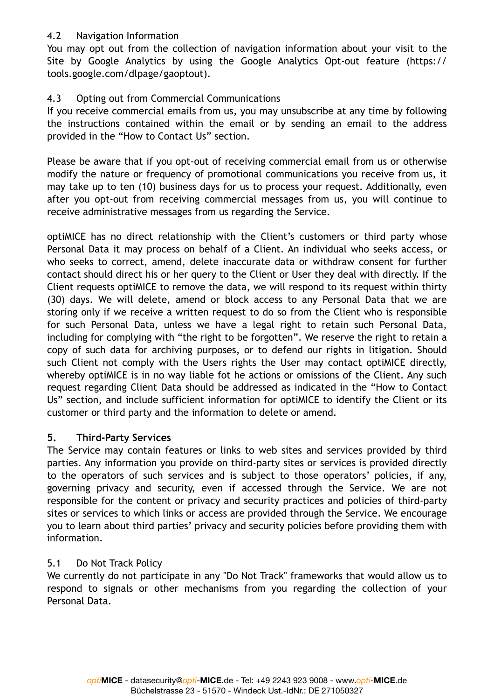### 4.2 Navigation Information

You may opt out from the collection of navigation information about your visit to the Site by Google Analytics by using the Google Analytics Opt-out feature (https:// tools.google.com/dlpage/gaoptout).

# 4.3 Opting out from Commercial Communications

If you receive commercial emails from us, you may unsubscribe at any time by following the instructions contained within the email or by sending an email to the address provided in the "How to Contact Us" section.

Please be aware that if you opt-out of receiving commercial email from us or otherwise modify the nature or frequency of promotional communications you receive from us, it may take up to ten (10) business days for us to process your request. Additionally, even after you opt-out from receiving commercial messages from us, you will continue to receive administrative messages from us regarding the Service.

optiMICE has no direct relationship with the Client's customers or third party whose Personal Data it may process on behalf of a Client. An individual who seeks access, or who seeks to correct, amend, delete inaccurate data or withdraw consent for further contact should direct his or her query to the Client or User they deal with directly. If the Client requests optiMICE to remove the data, we will respond to its request within thirty (30) days. We will delete, amend or block access to any Personal Data that we are storing only if we receive a written request to do so from the Client who is responsible for such Personal Data, unless we have a legal right to retain such Personal Data, including for complying with "the right to be forgotten". We reserve the right to retain a copy of such data for archiving purposes, or to defend our rights in litigation. Should such Client not comply with the Users rights the User may contact optiMICE directly, whereby optiMICE is in no way liable fot he actions or omissions of the Client. Any such request regarding Client Data should be addressed as indicated in the "How to Contact Us" section, and include sufficient information for optiMICE to identify the Client or its customer or third party and the information to delete or amend.

# **5. Third-Party Services**

The Service may contain features or links to web sites and services provided by third parties. Any information you provide on third-party sites or services is provided directly to the operators of such services and is subject to those operators' policies, if any, governing privacy and security, even if accessed through the Service. We are not responsible for the content or privacy and security practices and policies of third-party sites or services to which links or access are provided through the Service. We encourage you to learn about third parties' privacy and security policies before providing them with information.

# 5.1 Do Not Track Policy

We currently do not participate in any "Do Not Track" frameworks that would allow us to respond to signals or other mechanisms from you regarding the collection of your Personal Data.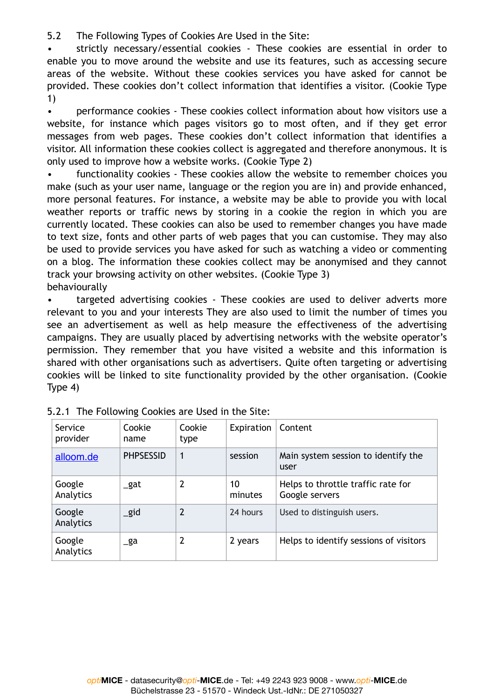5.2 The Following Types of Cookies Are Used in the Site:

• strictly necessary/essential cookies - These cookies are essential in order to enable you to move around the website and use its features, such as accessing secure areas of the website. Without these cookies services you have asked for cannot be provided. These cookies don't collect information that identifies a visitor. (Cookie Type 1)

• performance cookies - These cookies collect information about how visitors use a website, for instance which pages visitors go to most often, and if they get error messages from web pages. These cookies don't collect information that identifies a visitor. All information these cookies collect is aggregated and therefore anonymous. It is only used to improve how a website works. (Cookie Type 2)

• functionality cookies - These cookies allow the website to remember choices you make (such as your user name, language or the region you are in) and provide enhanced, more personal features. For instance, a website may be able to provide you with local weather reports or traffic news by storing in a cookie the region in which you are currently located. These cookies can also be used to remember changes you have made to text size, fonts and other parts of web pages that you can customise. They may also be used to provide services you have asked for such as watching a video or commenting on a blog. The information these cookies collect may be anonymised and they cannot track your browsing activity on other websites. (Cookie Type 3) behaviourally

• targeted advertising cookies - These cookies are used to deliver adverts more relevant to you and your interests They are also used to limit the number of times you see an advertisement as well as help measure the effectiveness of the advertising campaigns. They are usually placed by advertising networks with the website operator's permission. They remember that you have visited a website and this information is shared with other organisations such as advertisers. Quite often targeting or advertising cookies will be linked to site functionality provided by the other organisation. (Cookie Type 4)

| Service<br>provider | Cookie<br>name   | Cookie<br>type | Expiration    | Content                                              |
|---------------------|------------------|----------------|---------------|------------------------------------------------------|
| alloom.de           | <b>PHPSESSID</b> | 1              | session       | Main system session to identify the<br>user          |
| Google<br>Analytics | _gat             | 2              | 10<br>minutes | Helps to throttle traffic rate for<br>Google servers |
| Google<br>Analytics | _gid             | $\overline{2}$ | 24 hours      | Used to distinguish users.                           |
| Google<br>Analytics | _ga              | 2              | 2 years       | Helps to identify sessions of visitors               |

|  |  | 5.2.1 The Following Cookies are Used in the Site: |  |  |  |  |
|--|--|---------------------------------------------------|--|--|--|--|
|--|--|---------------------------------------------------|--|--|--|--|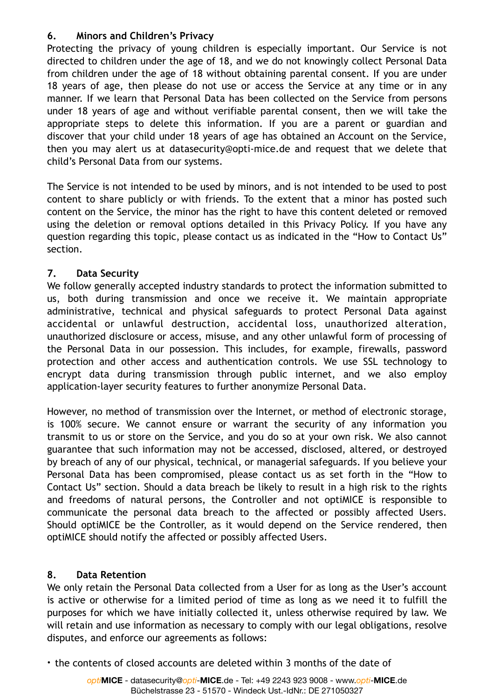### **6. Minors and Children's Privacy**

Protecting the privacy of young children is especially important. Our Service is not directed to children under the age of 18, and we do not knowingly collect Personal Data from children under the age of 18 without obtaining parental consent. If you are under 18 years of age, then please do not use or access the Service at any time or in any manner. If we learn that Personal Data has been collected on the Service from persons under 18 years of age and without verifiable parental consent, then we will take the appropriate steps to delete this information. If you are a parent or guardian and discover that your child under 18 years of age has obtained an Account on the Service, then you may alert us at datasecurity@opti-mice.de and request that we delete that child's Personal Data from our systems.

The Service is not intended to be used by minors, and is not intended to be used to post content to share publicly or with friends. To the extent that a minor has posted such content on the Service, the minor has the right to have this content deleted or removed using the deletion or removal options detailed in this Privacy Policy. If you have any question regarding this topic, please contact us as indicated in the "How to Contact Us" section.

# **7. Data Security**

We follow generally accepted industry standards to protect the information submitted to us, both during transmission and once we receive it. We maintain appropriate administrative, technical and physical safeguards to protect Personal Data against accidental or unlawful destruction, accidental loss, unauthorized alteration, unauthorized disclosure or access, misuse, and any other unlawful form of processing of the Personal Data in our possession. This includes, for example, firewalls, password protection and other access and authentication controls. We use SSL technology to encrypt data during transmission through public internet, and we also employ application-layer security features to further anonymize Personal Data.

However, no method of transmission over the Internet, or method of electronic storage, is 100% secure. We cannot ensure or warrant the security of any information you transmit to us or store on the Service, and you do so at your own risk. We also cannot guarantee that such information may not be accessed, disclosed, altered, or destroyed by breach of any of our physical, technical, or managerial safeguards. If you believe your Personal Data has been compromised, please contact us as set forth in the "How to Contact Us" section. Should a data breach be likely to result in a high risk to the rights and freedoms of natural persons, the Controller and not optiMICE is responsible to communicate the personal data breach to the affected or possibly affected Users. Should optiMICE be the Controller, as it would depend on the Service rendered, then optiMICE should notify the affected or possibly affected Users.

# **8. Data Retention**

We only retain the Personal Data collected from a User for as long as the User's account is active or otherwise for a limited period of time as long as we need it to fulfill the purposes for which we have initially collected it, unless otherwise required by law. We will retain and use information as necessary to comply with our legal obligations, resolve disputes, and enforce our agreements as follows:

• the contents of closed accounts are deleted within 3 months of the date of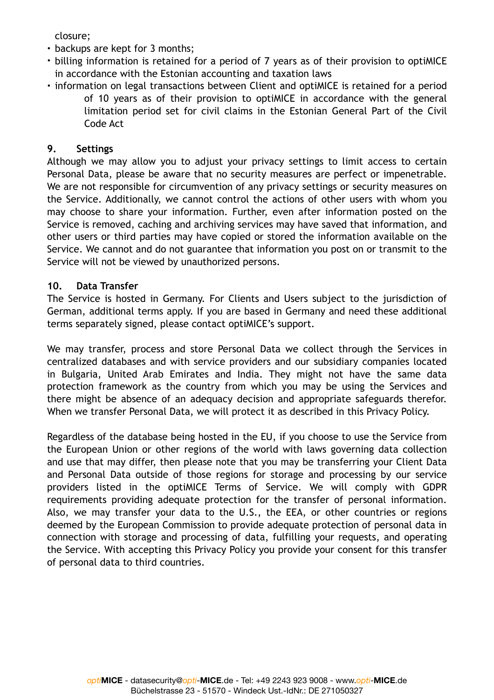closure;

- backups are kept for 3 months;
- billing information is retained for a period of 7 years as of their provision to optiMICE in accordance with the Estonian accounting and taxation laws
- information on legal transactions between Client and optiMICE is retained for a period of 10 years as of their provision to optiMICE in accordance with the general limitation period set for civil claims in the Estonian General Part of the Civil Code Act

### **9. Settings**

Although we may allow you to adjust your privacy settings to limit access to certain Personal Data, please be aware that no security measures are perfect or impenetrable. We are not responsible for circumvention of any privacy settings or security measures on the Service. Additionally, we cannot control the actions of other users with whom you may choose to share your information. Further, even after information posted on the Service is removed, caching and archiving services may have saved that information, and other users or third parties may have copied or stored the information available on the Service. We cannot and do not guarantee that information you post on or transmit to the Service will not be viewed by unauthorized persons.

### **10. Data Transfer**

The Service is hosted in Germany. For Clients and Users subject to the jurisdiction of German, additional terms apply. If you are based in Germany and need these additional terms separately signed, please contact optiMICE's support.

We may transfer, process and store Personal Data we collect through the Services in centralized databases and with service providers and our subsidiary companies located in Bulgaria, United Arab Emirates and India. They might not have the same data protection framework as the country from which you may be using the Services and there might be absence of an adequacy decision and appropriate safeguards therefor. When we transfer Personal Data, we will protect it as described in this Privacy Policy.

Regardless of the database being hosted in the EU, if you choose to use the Service from the European Union or other regions of the world with laws governing data collection and use that may differ, then please note that you may be transferring your Client Data and Personal Data outside of those regions for storage and processing by our service providers listed in the optiMICE Terms of Service. We will comply with GDPR requirements providing adequate protection for the transfer of personal information. Also, we may transfer your data to the U.S., the EEA, or other countries or regions deemed by the European Commission to provide adequate protection of personal data in connection with storage and processing of data, fulfilling your requests, and operating the Service. With accepting this Privacy Policy you provide your consent for this transfer of personal data to third countries.